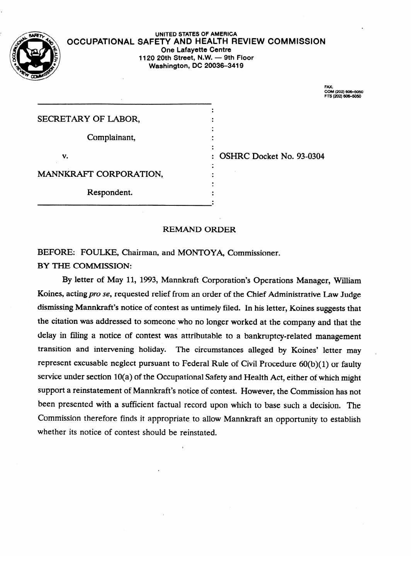

### UNITED STATES OF AMERICA **OCCUPATIONAL SAFETY AND HEALTH REVIEW COMMISSION One Lafayette Centre 1120 20th Street, N.W. - 9th Floor Washington, DC 20036-3419**

. FTS (202) 606–50

| SECRETARY OF LABOR,    |  |
|------------------------|--|
| Complainant,           |  |
| v.                     |  |
| MANNKRAFT CORPORATION, |  |
| Respondent.            |  |
|                        |  |

whether its notice of contest should be reinstated. It is not content should be reflected.

SHRC Docket No. 93-0304 : OSHRC Docket No. 93-0304<br>:

## **REMAND ORDER**

BEFORE: FOULKE, Chairman, and MONTOYA, Commissioner. BY THE COMMISSION:

By letter of May 11, 1993, Mannkraft Corporation's Operations Manager, William Koines, acting pro se, requested relief from an order of the Chief Administrative Law Judge dismissing Mannkraft's notice of contest as untimely filed. In his letter, Koines suggests that the citation was addressed to someone who no longer worked at the company and that the delay in filing a notice of contest was attributable to a bankruptcy-related management transition and intervening holiday. The circumstances alleged by Koines' letter may represent excusable neglect pursuant to Federal Rule of Civil Procedure  $60(b)(1)$  or faulty service under section  $10(a)$  of the Occupational Safety and Health Act, either of which might support a reinstatement of Mannkraft's notice of contest. However, the Commission has not been presented with a sufficient factual record upon which to base such a decision. The Commission therefore finds it appropriate to allow Mannkraft an opportunity to establish whether its notice of contest should be reinstated.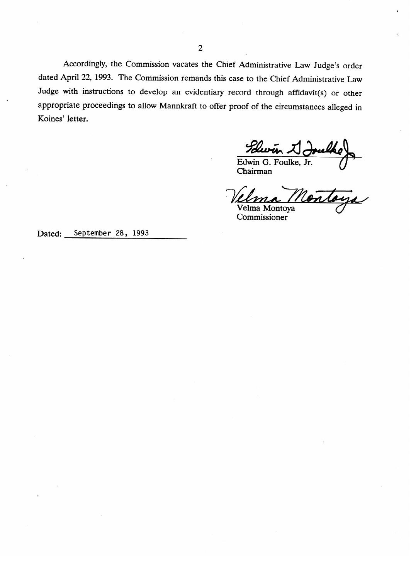Accordingly, the Commission vacates the Chief Administrative Law Judge's order dated April 22, 1993. The Commission remands this case to the Chief Administrative **Law**  Judge with instructions to develop an evidentiary record through affidavit(s) or other appropriate proceedings to allow Mannkraft to offer proof of the circumstances alleged in Koines' letter.

Edwin J.

Ventaga

Velma Montoya Commissioner

September 28, 1993 Dated: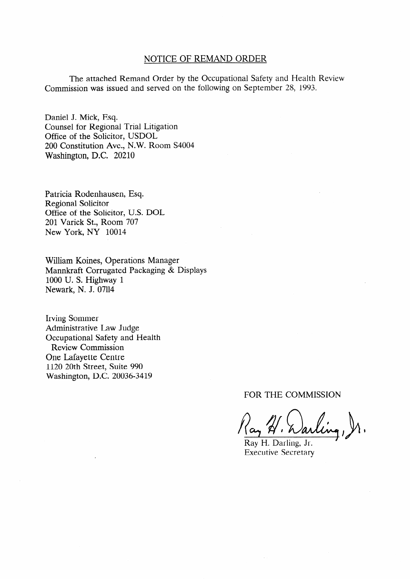## NOTICE OF REMAND ORDER

The attached Remand Order by the Occupational Safety and Health Review Commission was issued and served on the following on September 28, 1993.

Daniel J. Mick, Esq. Counsel for Regional Trial Litigation Office of the Solicitor, USDOL 200 Constitution Ave., N.W. Room S4004 Washington, D.C. 20210

Patricia Rodenhausen, Esq. Regional Solicitor Office of the Solicitor, U.S. DOL 201 Varick St., Room 707 New York, NY 10014

William Koines, Operations Manager Mannkraft Corrugated Packaging & Displays 1000 U. S. Highway 1 Newark, N. J. 07114

Irving Sommer Administrative Law Judge Occupational Safety and Health Review Commission One Lafayette Centre 1120 20th Street, Suite 990 Washington, D.C. 20036-3419

FOR THE COMMISSION

Ray H. Warling, Jr.

Ray H. Darling, Jr. Executive Secretary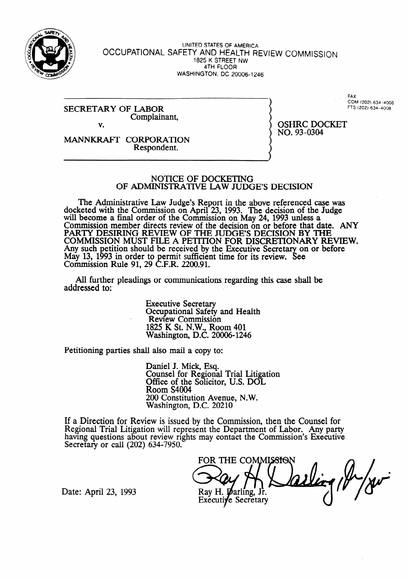

#### UNITED **STATES OF AMERICA OCCUPATIONAL SAFETY** AND **HEALTH REVIEW** COMMISSION **1825 K STREET NW 4TH FLOOR WASHINGTON, DC 20006-1246**

#### SECRETARY OF LABOR Complainant, v.

FAX, ' COM (202) 634-4008 **F-K** (202) 634-4008

OSHRC DOCKET

NO. 93-0304

MANNKRAFI' CORPORATION Respondent.

## NOTICE OF DOCKETING OF ADMINISTRATIVE LAW JUDGE'S DECISION

The Administrative Law Judge's Report in the above referenced case was docketed with the Commission on April 23, 1993. The decision of the Judge will become a final order of the Commission on May 24, 1993 unless a Commission member directs review of the decision on or before that date. ANY PARTY DESIRING REVIEW OF THE JUDGES DECISION BY THE COMMISSION MUST FILE A PETITION FOR DISCRETIONARY REVIEW. Any such petition should be received by the Executive Secretary on or before May 13, 1993 in order to permit sufficient time for its review. See Commission Rule 91, 29 C.F.R. 2200.91.

All further pleadings or communications regarding this case shall be addressed to:

> Executive Secretary Occupational Safety and Health Review Commission 1825 K St. N.W., Room 401 Washington, D.C. 20006-1246

Petitioning parties shall also mail a copy to:

Daniel J. Mick, Esq. Counsel for Regional Trial Litigation Office of the Solicitor, U.S. DOL Room S4004 200 Constitution Avenue, N.W. Washington, D.C. 20210

If a Direction for Review is issued by the Commission, then the Counsel for Regional Trial Litigation will represent the Department of Labor. Any party having questions about review rights may contact the Commission's Executive Secretary or call (202) 634-7950.

FOR THE COMMISSION Ray H. Darling, Jr. Executive Secretary

Date: April 23, 1993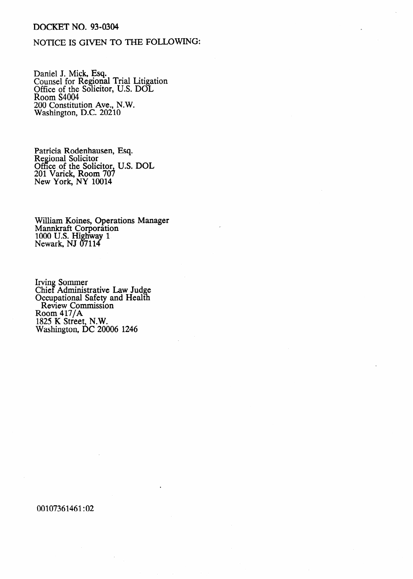## DOCKET NO. 93-0304

# NOTICE IS GIVEN TO THE FOLLOWING:

Daniel J. Mick, **Esq.**  Counsel for Regional Trial Litigation Office of the Solicitor, U.S. DOI Room S4004 200 Constitution Ave., N.W. Washington, D.C. 20210

Patricia Rodenhausen, Regional Solicitor Office of the Solicitor, 201 Varick, Room 707 New York, NY 10014 Esq. U.S. DOL

William Koines, Operations Manager Mannkraft Corporation 1000 U.S. Highway 1 Newark, NJ 07114

Irving Sommer Chief Administrative Law Judge Occupational Safety and Health Review Commission Room 417/A 1825 K Street, N.W. Washington, DC 20006 1246

00107361461:02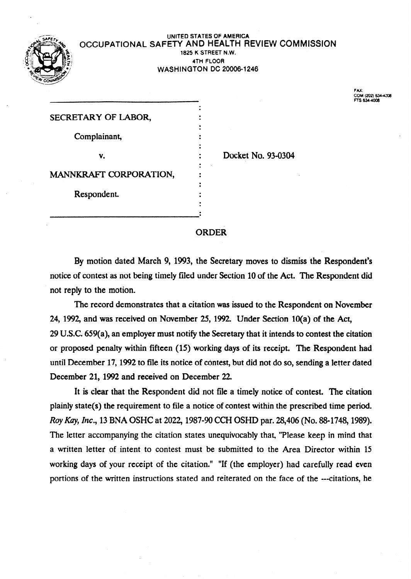

.

### **UNlTED STATES OF AMERICA OCCUPATIONAL** SAFETY AND HEALTH REVIEW COMMISSION **1825 K STREET N.W. 4TH FLOOR WASHINGTON** DC **20006-1246**

**FAX: COM (202) - Frs 634408** 

| SECRETARY OF LABOR,    |  |
|------------------------|--|
|                        |  |
| Complainant,           |  |
|                        |  |
| v.                     |  |
|                        |  |
| MANNKRAFT CORPORATION, |  |
|                        |  |
| Respondent.            |  |
|                        |  |
|                        |  |

Docket No. 93-0304

# ORDER

By motion dated March 9, 1993, the Secretary moves to dismiss the Respondent's notice of contest as not being timely filed under Section 10 of the Act. The Respondent did not reply to the motion.

The record demonstrates that a citation was issued to the Respondent on November 24, 1992, and was received on November 25, 1992. Under Section 10(a) of the Act,  $29$  U.S.C. 659(a), an employer must notify the Secretary that it intends to contest the citation or proposed penalty within fifteen (15) working days of its receipt. The Respondent had until December 17, 1992 to file its notice of contest, but did not do so, sending a letter dated December 21, 1992 and received on December 22.

It is clear that the Respondent did not file a timely notice of contest. The citation plainly state(s) the requirement to file a notice of contest within the prescribed time period. *Roy Kay, Inc.,* 13 BNA OSHC at 2022, 1987-90 CCH OSHD par. 28,406 (No. 88-1748, 1989). The letter accompanying the citation states unequivocably that, "Please keep in mind that a written letter of intent to contest must be submitted to the Area Director within 15 working days of your receipt of the citation." "If (the employer) had carefully read even portions of the written instructions stated and reiterated on the face of the ---citations, he